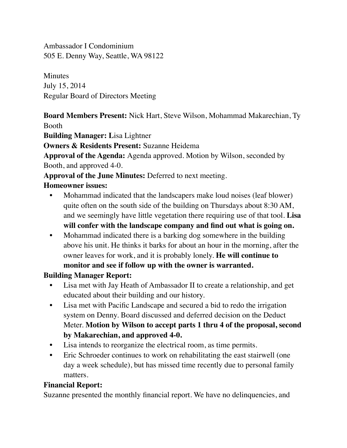Ambassador I Condominium 505 E. Denny Way, Seattle, WA 98122

**Minutes** July 15, 2014 Regular Board of Directors Meeting

**Board Members Present:** Nick Hart, Steve Wilson, Mohammad Makarechian, Ty Booth

**Building Manager: L**isa Lightner

**Owners & Residents Present:** Suzanne Heidema

**Approval of the Agenda:** Agenda approved. Motion by Wilson, seconded by Booth, and approved 4-0.

**Approval of the June Minutes:** Deferred to next meeting.

### **Homeowner issues:**

- Mohammad indicated that the landscapers make loud noises (leaf blower) quite often on the south side of the building on Thursdays about 8:30 AM, and we seemingly have little vegetation there requiring use of that tool. **Lisa will confer with the landscape company and find out what is going on.**
- Mohammad indicated there is a barking dog somewhere in the building above his unit. He thinks it barks for about an hour in the morning, after the owner leaves for work, and it is probably lonely. **He will continue to monitor and see if follow up with the owner is warranted.**

# **Building Manager Report:**

- Lisa met with Jay Heath of Ambassador II to create a relationship, and get educated about their building and our history.
- Lisa met with Pacific Landscape and secured a bid to redo the irrigation system on Denny. Board discussed and deferred decision on the Deduct Meter. **Motion by Wilson to accept parts 1 thru 4 of the proposal, second by Makarechian, and approved 4-0.**
- Lisa intends to reorganize the electrical room, as time permits.
- Eric Schroeder continues to work on rehabilitating the east stairwell (one day a week schedule), but has missed time recently due to personal family matters.

# **Financial Report:**

Suzanne presented the monthly financial report. We have no delinquencies, and